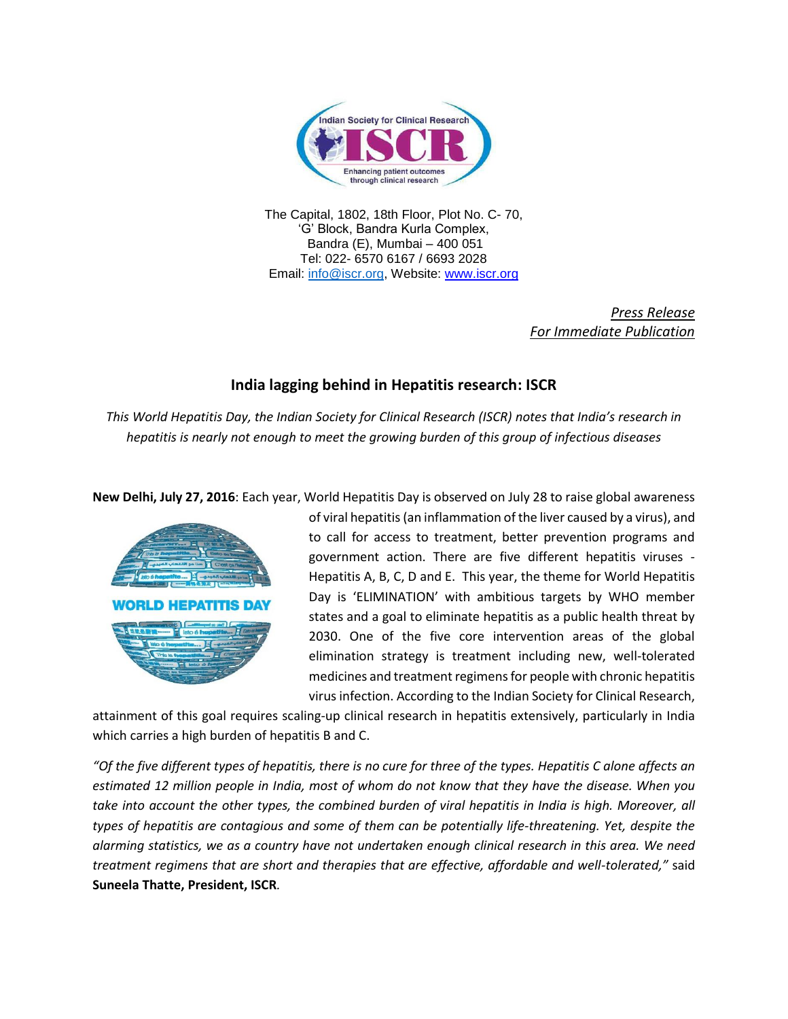

The Capital, 1802, 18th Floor, Plot No. C- 70, 'G' Block, Bandra Kurla Complex, Bandra (E), Mumbai – 400 051 Tel: 022- 6570 6167 / 6693 2028 Email: [info@iscr.org,](mailto:info@iscr.org) Website: www.iscr.org

> *Press Release For Immediate Publication*

# **India lagging behind in Hepatitis research: ISCR**

*This World Hepatitis Day, the Indian Society for Clinical Research (ISCR) notes that India's research in hepatitis is nearly not enough to meet the growing burden of this group of infectious diseases*

**New Delhi, July 27, 2016**: Each year, World Hepatitis Day is observed on July 28 to raise global awareness



of viral hepatitis(an inflammation of the liver caused by a virus), and to call for access to treatment, better prevention programs and government action. There are five different hepatitis viruses - Hepatitis A, B, C, D and E. This year, the theme for World Hepatitis Day is 'ELIMINATION' with ambitious targets by WHO member states and a goal to eliminate hepatitis as a public health threat by 2030. One of the five core intervention areas of the global elimination strategy is treatment including new, well-tolerated medicines and treatment regimens for people with chronic hepatitis virus infection. According to the Indian Society for Clinical Research,

attainment of this goal requires scaling-up clinical research in hepatitis extensively, particularly in India which carries a high burden of hepatitis B and C.

*"Of the five different types of hepatitis, there is no cure for three of the types. Hepatitis C alone affects an estimated 12 million people in India, most of whom do not know that they have the disease. When you take into account the other types, the combined burden of viral hepatitis in India is high. Moreover, all types of hepatitis are contagious and some of them can be potentially life-threatening. Yet, despite the alarming statistics, we as a country have not undertaken enough clinical research in this area. We need treatment regimens that are short and therapies that are effective, affordable and well-tolerated,"* said **Suneela Thatte, President, ISCR***.*